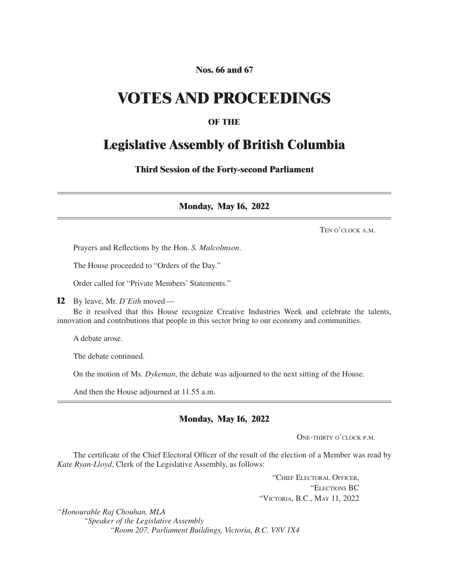## **Nos. 66 and 67**

## **VOTES AND PROCEEDINGS**

## **OF THE**

## **Legislative Assembly of British Columbia**

**Third Session of the Forty-second Parliament**

**Monday, May 16, 2022**

Ten o'clock a.m.

Prayers and Reflections by the Hon. *S. Malcolmson*.

The House proceeded to "Orders of the Day."

Order called for "Private Members' Statements."

**12** By leave, Mr. *D'Eith* moved—

Be it resolved that this House recognize Creative Industries Week and celebrate the talents, innovation and contributions that people in this sector bring to our economy and communities.

A debate arose.

The debate continued.

On the motion of Ms. *Dykeman*, the debate was adjourned to the next sitting of the House.

And then the House adjourned at 11.55 a.m.

### **Monday, May 16, 2022**

ONE-THIRTY O'CLOCK P.M.

The certificate of the Chief Electoral Officer of the result of the election of a Member was read by *Kate Ryan-Lloyd*, Clerk of the Legislative Assembly, as follows:

> "Chief Electoral Officer, "Elections BC "Victoria, B.C., May 11, 2022

*"Honourable Raj Chouhan, MLA "Speaker of the Legislative Assembly "Room 207, Parliament Buildings, Victoria, B.C. V8V 1X4*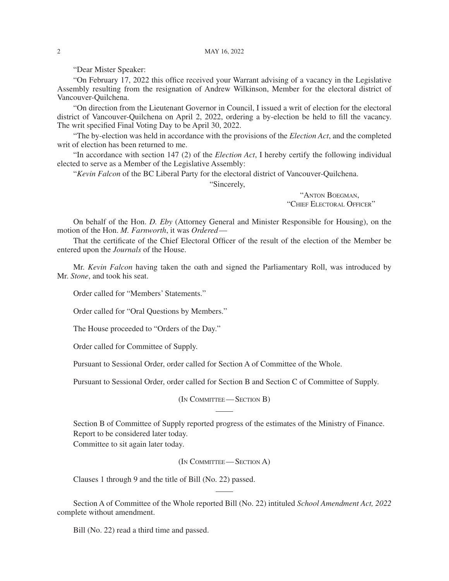"Dear Mister Speaker:

"On February 17, 2022 this office received your Warrant advising of a vacancy in the Legislative Assembly resulting from the resignation of Andrew Wilkinson, Member for the electoral district of Vancouver-Quilchena.

"On direction from the Lieutenant Governor in Council, I issued a writ of election for the electoral district of Vancouver-Quilchena on April 2, 2022, ordering a by-election be held to fill the vacancy. The writ specified Final Voting Day to be April 30, 2022.

"The by-election was held in accordance with the provisions of the *Election Act*, and the completed writ of election has been returned to me.

"In accordance with section 147 (2) of the *Election Act*, I hereby certify the following individual elected to serve as a Member of the Legislative Assembly:

"*Kevin Falcon* of the BC Liberal Party for the electoral district of Vancouver-Quilchena.

"Sincerely,

"Anton Boegman, "Chief Electoral Officer"

On behalf of the Hon. *D. Eby* (Attorney General and Minister Responsible for Housing), on the motion of the Hon. *M. Farnworth*, it was *Ordered*—

That the certificate of the Chief Electoral Officer of the result of the election of the Member be entered upon the *Journals* of the House.

Mr. *Kevin Falcon* having taken the oath and signed the Parliamentary Roll, was introduced by Mr. *Stone*, and took his seat.

Order called for "Members' Statements."

Order called for "Oral Questions by Members."

The House proceeded to "Orders of the Day."

Order called for Committee of Supply.

Pursuant to Sessional Order, order called for Section A of Committee of the Whole.

Pursuant to Sessional Order, order called for Section B and Section C of Committee of Supply.

(In Committee— Section B)

Section B of Committee of Supply reported progress of the estimates of the Ministry of Finance. Report to be considered later today.

Committee to sit again later today.

(In Committee— Section A)

Clauses 1 through 9 and the title of Bill (No. 22) passed.

Section A of Committee of the Whole reported Bill (No. 22) intituled *School Amendment Act, 2022* complete without amendment.

Bill (No. 22) read a third time and passed.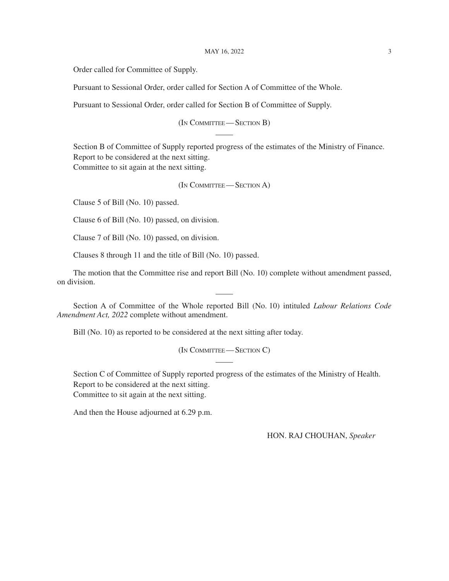#### MAY 16, 2022 3

Order called for Committee of Supply.

Pursuant to Sessional Order, order called for Section A of Committee of the Whole.

Pursuant to Sessional Order, order called for Section B of Committee of Supply.

(In Committee— Section B)

Section B of Committee of Supply reported progress of the estimates of the Ministry of Finance. Report to be considered at the next sitting. Committee to sit again at the next sitting.

(In Committee— Section A)

Clause 5 of Bill (No. 10) passed.

Clause 6 of Bill (No. 10) passed, on division.

Clause 7 of Bill (No. 10) passed, on division.

Clauses 8 through 11 and the title of Bill (No. 10) passed.

The motion that the Committee rise and report Bill (No. 10) complete without amendment passed, on division.

Section A of Committee of the Whole reported Bill (No. 10) intituled *Labour Relations Code Amendment Act, 2022* complete without amendment.

Bill (No. 10) as reported to be considered at the next sitting after today.

(In COMMITTEE—SECTION C)

Section C of Committee of Supply reported progress of the estimates of the Ministry of Health. Report to be considered at the next sitting. Committee to sit again at the next sitting.

And then the House adjourned at 6.29 p.m.

HON. RAJ CHOUHAN, *Speaker*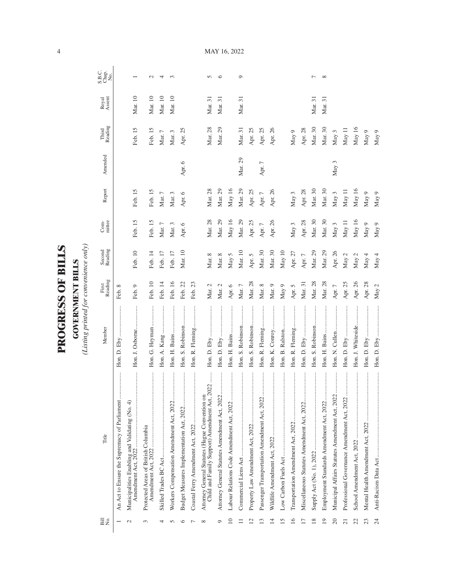| i<br>F                |
|-----------------------|
|                       |
| $\overline{\epsilon}$ |
| ۱.                    |
|                       |
| くこにく                  |
|                       |
|                       |
|                       |
|                       |
|                       |

**GOVERNMENT BILLS**<br>(Listing printed for convenience only) *(Listing printed for convenience only)*

**GOVERNMENT BILLS**

| Bill<br>No.             | Title                                                                                           | Member            | First<br>Reading | Second<br>Reading | Com-<br>mittee | Report     | Amended  | Third<br>Reading | Royal<br>Assent | S.B.C.<br>Chap.<br>No. |
|-------------------------|-------------------------------------------------------------------------------------------------|-------------------|------------------|-------------------|----------------|------------|----------|------------------|-----------------|------------------------|
|                         | An Act to Ensure the Supremacy of Parliament                                                    |                   | Feb. 8           |                   |                |            |          |                  |                 |                        |
|                         | Municipalities Enabling and Validating (No. 4)<br>Amendment Act, 2022                           | Hon. J. Osborne   | Feb. 9           | Feb. 10           | Feb. 15        | Feb. 15    |          | Feb. 15          | Mar. 10         |                        |
| 3                       | <br>Protected Areas of British Columbia                                                         | Hon. G. Heyman    | Feb. 10          | Feb. 14           | Feb. 15        | Feb. 15    |          | Feb. 15          | Mar. 10         | $\mathcal{L}$          |
| 4                       |                                                                                                 | Hon. A. Kang      | Feb. 14          | Feb. 17           | Mar. $7$       | Mar. $7$   |          | Mar. $7$         | Mar. 10         | 4                      |
| n                       | Workers Compensation Amendment Act, 2022                                                        | Hon. H. Bains     | Feb. 16          | Feb. 17           | Mar. 3         | Mar. $3$   |          | Mar. 3           | Mar. 10         | $\sim$                 |
| ∽                       | Budget Measures Implementation Act, 2022                                                        | Hon. S. Robinson  | Feb. 22          | Mar. 10           | Apr. 6         | Apr. $6$   | Apr. 6   | Apr. 25          |                 |                        |
|                         |                                                                                                 | Hon. R. Fleming   | Feb. 23          |                   |                |            |          |                  |                 |                        |
| ∝                       | Child and Family Support) Amendment Act, 2022<br>Attorney General Statutes (Hague Convention on |                   | Mar. 2           | Mar. 8            | Mar. 28        | Mar. 28    |          | Mar. 28          | Mar. 31         | n                      |
| ᢦ                       | Attorney General Statutes Amendment Act, 2022                                                   | Hon. D. Eby       | Mar. 2           | Mar. 8            | Mar. 29        | Mar. 29    |          | Mar. 29          | Mar. 31         | G                      |
| $\supseteq$             | <br>Labour Relations Code Amendment Act, 2022                                                   |                   | Apr. 6           | May 5             | May $16$       | May 16     |          |                  |                 |                        |
|                         |                                                                                                 | Hon. S. Robinson  | Mar. $7$         | Mar. 10           | Mar. 29        | Mar. 29    | Mar. 29  | Mar. 31          | Mar. 31         | $\circ$                |
| $\overline{\mathbf{c}}$ |                                                                                                 | Hon. S. Robinson  | Mar. 28          | Apr. 5            | Apr. 25        | Apr. 25    |          | Apr. 25          |                 |                        |
| മ                       | Passenger Transportation Amendment Act, 2022                                                    | Hon. R. Fleming   | Mar. 8           | Mar. 30           | Apr. $7$       | Apr. $7\,$ | Apr. $7$ | Apr. 25          |                 |                        |
| $\overline{1}$          |                                                                                                 |                   | Mar. 9           | Mar. 30           | Apr. 26        | Apr. 26    |          | Apr. 26          |                 |                        |
| 15                      |                                                                                                 | Hon. B. Ralston   | May $9$          | May 10            |                |            |          |                  |                 |                        |
| 16                      |                                                                                                 | Hon. R. Fleming   | Apr. 5           | Apr. 27           | May 3          | May 3      |          | May 9            |                 |                        |
| $\overline{17}$         | <br>Miscellaneous Statutes Amendment Act, 2022                                                  | .<br>Hon. D. Eby  | Mar. 31          | Apr. $7\,$        | Apr. 28        | Apr. 28    |          | Apr. 28          |                 |                        |
| 18                      |                                                                                                 | Hon. S. Robinson  | Mar. 28          | Mar. 29           | Mar. 30        | Mar. 30    |          | Mar. 30          | Mar. 31         | ∼                      |
| 19                      | <br>Employment Standards Amendment Act, 2022                                                    |                   | Mar. 28          | Mar. 29           | Mar. 30        | Mar. 30    |          | Mar. 30          | Mar. 31         | $\infty$               |
| 20                      | <br>Municipal Affairs Statutes Amendment Act, 2022.                                             | Hon. N. Cullen    | Apr. $7$         | Apr. 26           | May $3$        | May 3      | May 3    | May 3            |                 |                        |
| $\overline{c}$          | Professional Governance Amendment Act, 2022                                                     |                   | Apr. 25          | May $2$           | May 11         | May 11     |          | May 11           |                 |                        |
| 22                      |                                                                                                 | Hon. J. Whiteside | Apr. 26          | May 2             | May $16$       | May 16     |          | May 16           |                 |                        |
| 23                      |                                                                                                 |                   | Apr. 28          | May 4             | May 9          | May 9      |          | May 9            |                 |                        |
| 24                      |                                                                                                 |                   | May 2            | May 4             | May 9          | May 9      |          | May 9            |                 |                        |

MAY 16, 2022

4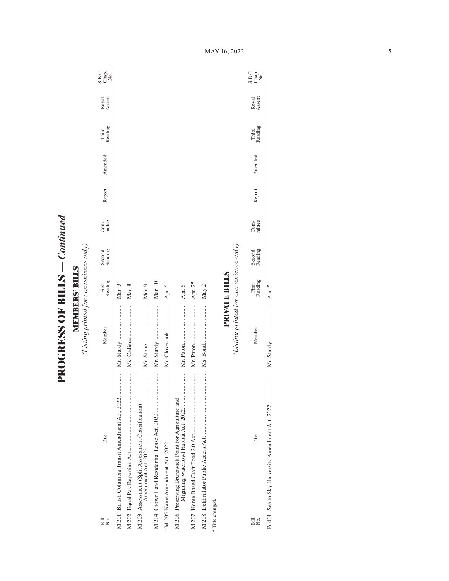**PROGRESS OF BILLS - Continued PROGRESS OF BILLS** *— Continued*

**MEMBERS' BILLS**<br>(Listing printed for convenience only) *(Listing printed for convenience only)* **MEMBERS' BILLS**

| $\overline{B}$<br>Σó | Title                                                                                             | Member                                 | Reading<br>First     | Second<br>Reading | mittee<br>Com- | Report | Amended | Reading<br>Third | Royal<br>Assent | C.<br>S.B.e.<br>S.B.e.           |
|----------------------|---------------------------------------------------------------------------------------------------|----------------------------------------|----------------------|-------------------|----------------|--------|---------|------------------|-----------------|----------------------------------|
|                      | M 201 British Columbia Transit Amendment Act, 2022                                                |                                        | Mar. 3               |                   |                |        |         |                  |                 |                                  |
|                      |                                                                                                   | Ms. Cadieux                            | Mar. 8               |                   |                |        |         |                  |                 |                                  |
|                      | M 203 Assessment (Split Assessment Classification)                                                |                                        | Mar. 9               |                   |                |        |         |                  |                 |                                  |
|                      |                                                                                                   |                                        | Mar. 10              |                   |                |        |         |                  |                 |                                  |
|                      |                                                                                                   |                                        | Apr. 5               |                   |                |        |         |                  |                 |                                  |
|                      | <br>M 206 Preserving Brunswick Point for Agriculture and<br>Migrating Waterfowl Habitat Act, 2022 |                                        | Apr. 6               |                   |                |        |         |                  |                 |                                  |
|                      |                                                                                                   |                                        | Apr. 25              |                   |                |        |         |                  |                 |                                  |
|                      |                                                                                                   |                                        | May 2                |                   |                |        |         |                  |                 |                                  |
| * Title changed.     |                                                                                                   |                                        |                      |                   |                |        |         |                  |                 |                                  |
|                      |                                                                                                   | (Listing printed for convenience only) | <b>PRIVATE BILLS</b> |                   |                |        |         |                  |                 |                                  |
| Bill<br>Σó,          | Title                                                                                             | Member                                 | Reading<br>First     | Second<br>Reading | mittee<br>Com- | Report | Amended | Third<br>Reading | Royal<br>Assent | C<br>SB <sub>Q</sub><br>SBQ<br>Z |

Pr 401 Sea to Sky University Amendment Act, 2022 ..................... Mr. Sturdy ........................ Apr. 5

Apr. 5

MAY 16, 2022